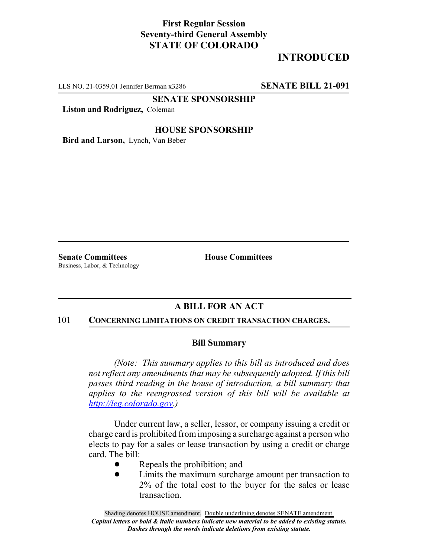# **First Regular Session Seventy-third General Assembly STATE OF COLORADO**

# **INTRODUCED**

LLS NO. 21-0359.01 Jennifer Berman x3286 **SENATE BILL 21-091**

**SENATE SPONSORSHIP**

**Liston and Rodriguez,** Coleman

## **HOUSE SPONSORSHIP**

**Bird and Larson,** Lynch, Van Beber

**Senate Committees House Committees** Business, Labor, & Technology

## **A BILL FOR AN ACT**

#### 101 **CONCERNING LIMITATIONS ON CREDIT TRANSACTION CHARGES.**

## **Bill Summary**

*(Note: This summary applies to this bill as introduced and does not reflect any amendments that may be subsequently adopted. If this bill passes third reading in the house of introduction, a bill summary that applies to the reengrossed version of this bill will be available at http://leg.colorado.gov.)*

Under current law, a seller, lessor, or company issuing a credit or charge card is prohibited from imposing a surcharge against a person who elects to pay for a sales or lease transaction by using a credit or charge card. The bill:

- Repeals the prohibition; and
- Limits the maximum surcharge amount per transaction to 2% of the total cost to the buyer for the sales or lease transaction.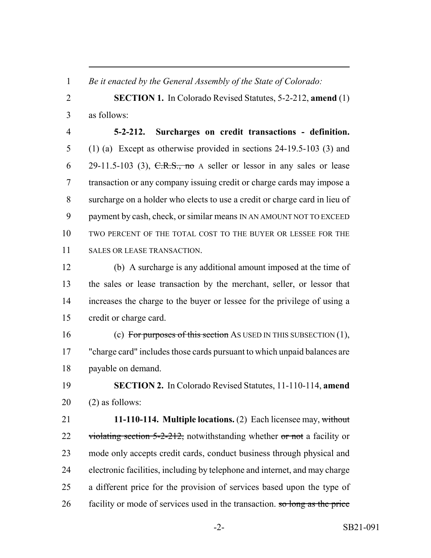*Be it enacted by the General Assembly of the State of Colorado:*

 **SECTION 1.** In Colorado Revised Statutes, 5-2-212, **amend** (1) as follows:

 **5-2-212. Surcharges on credit transactions - definition.** (1) (a) Except as otherwise provided in sections 24-19.5-103 (3) and 6 29-11.5-103 (3),  $C.R.S., no A seller or less or in any sales or lease$  transaction or any company issuing credit or charge cards may impose a surcharge on a holder who elects to use a credit or charge card in lieu of payment by cash, check, or similar means IN AN AMOUNT NOT TO EXCEED TWO PERCENT OF THE TOTAL COST TO THE BUYER OR LESSEE FOR THE SALES OR LEASE TRANSACTION.

 (b) A surcharge is any additional amount imposed at the time of the sales or lease transaction by the merchant, seller, or lessor that increases the charge to the buyer or lessee for the privilege of using a credit or charge card.

16 (c) For purposes of this section AS USED IN THIS SUBSECTION (1), "charge card" includes those cards pursuant to which unpaid balances are payable on demand.

 **SECTION 2.** In Colorado Revised Statutes, 11-110-114, **amend** (2) as follows:

 **11-110-114. Multiple locations.** (2) Each licensee may, without 22 violating section  $5-2-212$ , notwithstanding whether or not a facility or mode only accepts credit cards, conduct business through physical and electronic facilities, including by telephone and internet, and may charge a different price for the provision of services based upon the type of 26 facility or mode of services used in the transaction. so long as the price